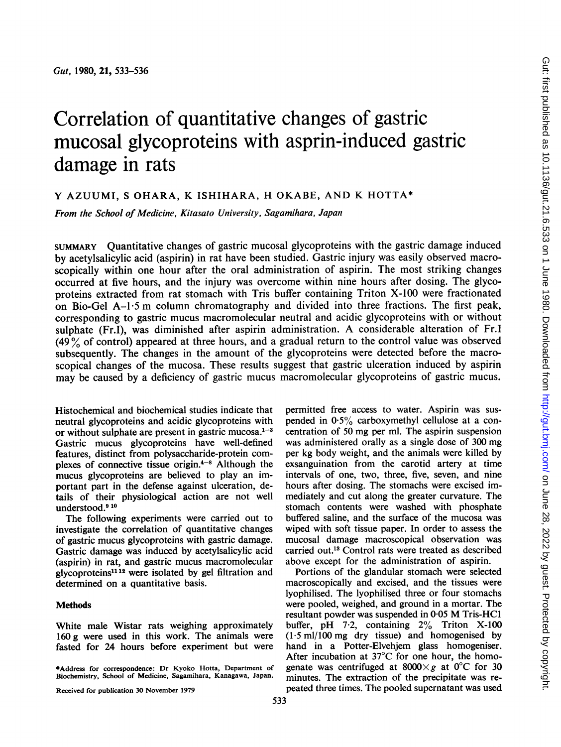# Correlation of quantitative changes of gastric mucosal glycoproteins with asprin-induced gastric damage in rats

# Y AZUUMI, <sup>S</sup> OHARA, K ISHIHARA, H OKABE, AND K HOTTA\*

From the School of Medicine, Kitasato University, Sagamihara, Japan

SUMMARY Quantitative changes of gastric mucosal glycoproteins with the gastric damage induced by acetylsalicylic acid (aspirin) in rat have been studied. Gastric injury was easily observed macroscopically within one hour after the oral administration of aspirin. The most striking changes occurred at five hours, and the injury was overcome within nine hours after dosing. The glycoproteins extracted from rat stomach with Tris buffer containing Triton X-100 were fractionated on Bio-Gel A-1 <sup>5</sup> m column chromatography and divided into three fractions. The first peak, corresponding to gastric mucus macromolecular neutral and acidic glycoproteins with or without sulphate (Fr.I), was diminished after aspirin administration. A considerable alteration of Fr.I  $(49\%$  of control) appeared at three hours, and a gradual return to the control value was observed subsequently. The changes in the amount of the glycoproteins were detected before the macroscopical changes of the mucosa. These results suggest that gastric ulceration induced by aspirin may be caused by a deficiency of gastric mucus macromolecular glycoproteins of gastric mucus.

Histochemical and biochemical studies indicate that neutral glycoproteins and acidic glycoproteins with or without sulphate are present in gastric mucosa. $1-3$ Gastric mucus glycoproteins have well-defined features, distinct from polysaccharide-protein complexes of connective tissue origin. $4^{-8}$  Although the mucus glycoproteins are believed to play an important part in the defense against ulceration, details of their physiological action are not well understood.<sup>910</sup>

The following experiments were carried out to investigate the correlation of quantitative changes of gastric mucus glycoproteins with gastric damage. Gastric damage was induced by acetylsalicylic acid (aspirin) in rat, and gastric mucus macromolecular glycoproteins1112 were isolated by gel filtration and determined on a quantitative basis.

### **Methods**

White male Wistar rats weighing approximately 160 g were used in this work. The animals were fasted for 24 hours before experiment but were permitted free access to water. Aspirin was suspended in 05% carboxymethyl cellulose at <sup>a</sup> concentration of 50 mg per ml. The aspirin suspension was administered orally as a single dose of 300 mg per kg body weight, and the animals were killed by exsanguination from the carotid artery at time intervals of one, two, three, five, seven, and nine hours after dosing. The stomachs were excised immediately and cut along the greater curvature. The stomach contents were washed with phosphate buffered saline, and the surface of the mucosa was wiped with soft tissue paper. In order to assess the mucosal damage macroscopical observation was carried out.13 Control rats were treated as described above except for the administration of aspirin.

Portions of the glandular stomach were selected macroscopically and excised, and the tissues were lyophilised. The lyophilised three or four stomachs were pooled, weighed, and ground in a mortar. The resultant powder was suspended in 0.05 M Tris-HC1 buffer, pH  $7.2$ , containing  $2\%$  Triton X-100 (1-5 ml/100 mg dry tissue) and homogenised by hand in a Potter-Elvehjem glass homogeniser. After incubation at 37°C for one hour, the homogenate was centrifuged at  $8000 \times g$  at 0°C for 30 minutes. The extraction of the precipitate was repeated three times. The pooled supernatant was used

<sup>\*</sup>Address for correspondence: Dr Kyoko Hotta, Department of Biochemistry, School of Medicine, Sagamihara, Kanagawa, Japan.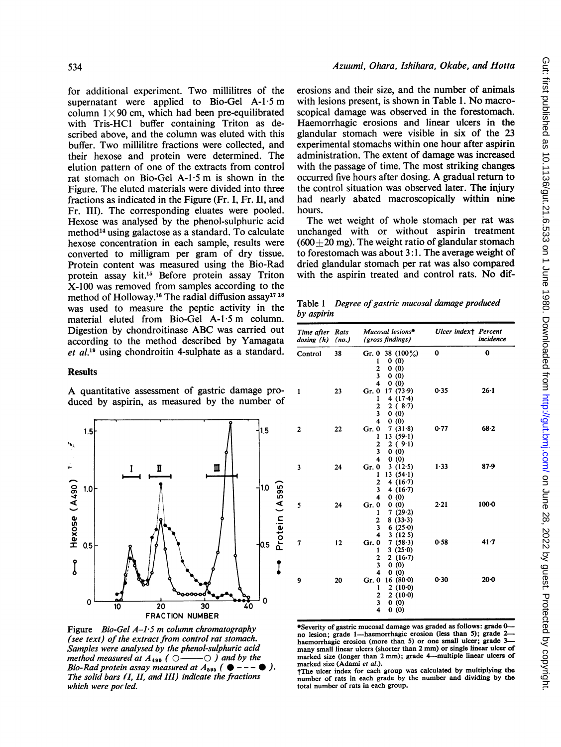Azuumi, Ohara, Ishihara, Okabe, and Hotta

for additional experiment. Two millilitres of the supernatant were applied to Bio-Gel  $A-1.5$  m column  $1 \times 90$  cm, which had been pre-equilibrated with Tris-HC1 buffer containing Triton as described above, and the column was eluted with this buffer. Two millilitre fractions were collected, and their hexose and protein were determined. The elution pattern of one of the extracts from control rat stomach on Bio-Gel A-1.5 m is shown in the Figure. The eluted materials were divided into three fractions as indicated in the Figure (Fr. 1, Fr. LI, and Fr. III). The corresponding eluates were pooled. Hexose was analysed by the phenol-sulphuric acid method<sup>14</sup> using galactose as a standard. To calculate hexose concentration in each sample, results were converted to milligram per gram of dry tissue. Protein content was measured using the Bio-Rad protein assay kit.'5 Before protein assay Triton X-100 was removed from samples according to the method of Holloway.<sup>16</sup> The radial diffusion assay<sup>17</sup><sup>18</sup> was used to measure the peptic activity in the material eluted from Bio-Gel A-1.5 m column. Digestion by chondroitinase ABC was carried out according to the method described by Yamagata et al.19 using chondroitin 4-sulphate as a standard.

#### Results

A quantitative assessment of gastric damage produced by aspirin, as measured by the number of



Figure Bio-Gel  $A-I.5$  m column chromatography (see text) of the extract from control rat stomach. Samples were analysed by the phenol-sulphuric acid method measured at A490 (0 ) and by the Bio-Rad protein assay measured at  $A_{595}$  ( $\bullet$  --- $\bullet$ ). The solid bars (I, II, and III) indicate the fractions which were pocled.

erosions and their size, and the number of animals with lesions present, is shown in Table 1. No macroscopical damage was observed in the forestomach. Haemorrhagic erosions and linear ulcers in the glandular stomach were visible in six of the 23 experimental stomachs within one hour after aspirin administration. The extent of damage was increased with the passage of time. The most striking changes occurred five hours after dosing. A gradual return to the control situation was observed later. The injury had nearly abated macroscopically within nine hours.

The wet weight of whole stomach per rat was unchanged with or without aspirin treatment  $(600+20 \text{ mg})$ . The weight ratio of glandular stomach to forestomach was about 3:1. The average weight of dried glandular stomach per rat was also compared with the aspirin treated and control rats. No dif-

Table 1 Degree of gastric mucosal damage produced by aspirin

| Time after Rats<br>dosing (h) | (no.) | Mucosal lesions**<br>(gross findings)                                                                                                  | Ulcer indext Percent | incidence |
|-------------------------------|-------|----------------------------------------------------------------------------------------------------------------------------------------|----------------------|-----------|
| Control                       | 38    | Gr. 0 38 $(100\%)$<br>0(0)<br>1<br>$\overline{c}$<br>0(0)<br>$\overline{\mathbf{3}}$<br>0(0)<br>4<br>0(0)                              | 0                    | 0         |
| 1                             | 23    | 17(73.9)<br>Gr. 0<br>4 $(17.4)$<br>1<br>$\overline{c}$<br>2(8.7)<br>$\overline{\mathbf{3}}$<br>0(0)<br>$\overline{\mathbf{4}}$<br>0(0) | 0.35                 | $26 - 1$  |
| 2                             | 22    | 7(31.8)<br>Gr. 0<br>13(59.1)<br>1<br>2(9.1)<br>2<br>3<br>0(0)<br>4<br>0(0)                                                             | 0.77                 | 68.2      |
| 3                             | 24    | Gr. 0<br>3(12.5)<br>13(541)<br>1<br>2<br>4 $(16.7)$<br>3<br>4 $(16.7)$<br>$\overline{\mathbf{4}}$<br>0(0)                              | 1.33                 | 87.9      |
| 5                             | 24    | Gr. 0<br>0(0)<br>7(29.2)<br>1<br>$\overline{c}$<br>8(33.3)<br>$\overline{\mathbf{3}}$<br>6(25.0)<br>4<br>3(125)                        | 2.21                 | $100-0$   |
| 7                             | 12    | 7(58.3)<br>Gr. 0<br>3(25.0)<br>1<br>2(16.7)<br>2<br>3<br>(0)<br>0<br>4<br>0(0)                                                         | 0.58                 | $41 - 7$  |
| 9                             | 20    | 16(80.0)<br>Gr. 0<br>2(10.0)<br>1<br>$\frac{2}{3}$<br>2(10.0)<br>0(0)<br>$\overline{\mathbf{4}}$<br>0(0)                               | 0.30                 | $20 - 0$  |

\*Severity of gastric mucosal damage was graded as follows: grade 0 no lesion; grade 1-haemorrhagic erosion (less than 5); grade 2haemorrhagic erosion (more than 5) or one small ulcer; grade 3many small linear ulcers (shorter than 2 mm) or single linear ulcer of marked size (longer than 2 mm); grade 4-multiple linear ulcers of marked size (Adami et al.).

tThe ulcer index for each group was calculated by multiplying the number of rats in each grade by the number and dividing by the total number of rats in each group.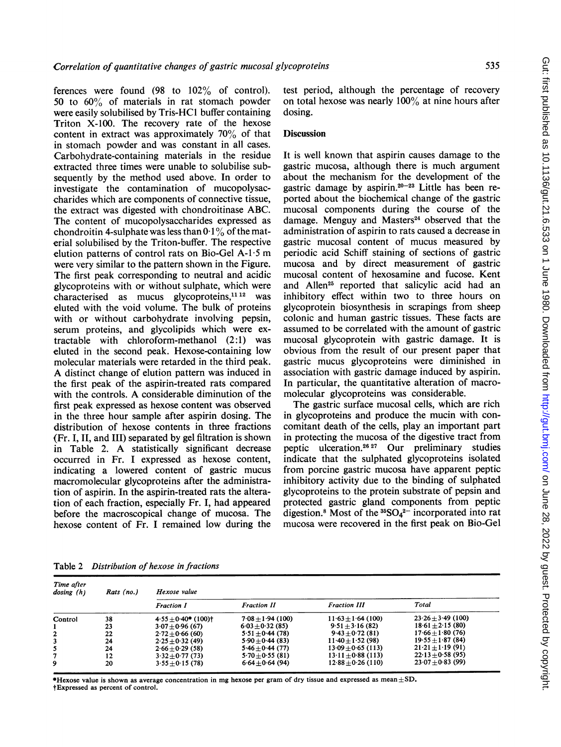535

ferences were found  $(98 \text{ to } 102\% \text{ of control}).$ 50 to 60% of materials in rat stomach powder were easily solubilised by Tris-HC1 buffer containing Triton X-100. The recovery rate of the hexose content in extract was approximately 70% of that in stomach powder and was constant in all cases. Carbohydrate-containing materials in the residue extracted three times were unable to solubilise subsequently by the method used above. In order to investigate the contamination of mucopolysaccharides which are components of connective tissue, the extract was digested with chondroitinase ABC. The content of mucopolysaccharides expressed as chondroitin 4-sulphate was less than  $0.1\%$  of the material solubilised by the Triton-buffer. The respective elution patterns of control rats on Bio-Gel A-1 <sup>5</sup> m were very similar to the pattern shown in the Figure. The first peak corresponding to neutral and acidic glycoproteins with or without sulphate, which were characterised as mucus glycoproteins,<sup>11 12</sup> was eluted with the void volume. The bulk of proteins with or without carbohydrate involving pepsin, serum proteins, and glycolipids which were extractable with chloroform-methanol (2:1) was eluted in the second peak. Hexose-containing low molecular materials were retarded in the third peak. A distinct change of elution pattern was induced in the first peak of the aspirin-treated rats compared with the controls. A considerable diminution of the first peak expressed as hexose content was observed in the three hour sample after aspirin dosing. The distribution of hexose contents in three fractions (Fr. I, II, and III) separated by gel filtration is shown in Table 2. A statistically significant decrease occurred in Fr. I expressed as hexose content, indicating a lowered content of gastric mucus macromolecular glycoproteins after the administration of aspirin. In the aspirin-treated rats the alteration of each fraction, especially Fr. I, had appeared before the macroscopical change of mucosa. The hexose content of Fr. <sup>I</sup> remained low during the

test period, although the percentage of recovery on total hexose was nearly  $100\%$  at nine hours after dosing.

## **Discussion**

It is well known that aspirin causes damage to the gastric mucosa, although there is much argument about the mechanism for the development of the gastric damage by aspirin. $20-23$  Little has been reported about the biochemical change of the gastric mucosal components during the course of the damage. Menguy and Masters<sup>24</sup> observed that the administration of aspirin to rats caused a decrease in gastric mucosal content of mucus measured by periodic acid Schiff staining of sections of gastric mucosa and by direct measurement of gastric mucosal content of hexosamine and fucose. Kent and Allen<sup>25</sup> reported that salicylic acid had an inhibitory effect within two to three hours on glycoprotein biosynthesis in scrapings from sheep colonic and human gastric tissues. These facts are assumed to be correlated with the amount of gastric mucosal glycoprotein with gastric damage. It is obvious from the result of our present paper that gastric mucus glycoproteins were diminished in association with gastric damage induced by aspirin. In particular, the quantitative alteration of macromolecular glycoproteins was considerable.

The gastric surface mucosal cells, which are rich in glycoproteins and produce the mucin with concomitant death of the cells, play an important part in protecting the mucosa of the digestive tract from peptic ulceration.2627 Our preliminary studies indicate that the sulphated glycoproteins isolated from porcine gastric mucosa have apparent peptic inhibitory activity due to the binding of sulphated glycoproteins to the protein substrate of pepsin and protected gastric gland components from peptic digestion.<sup>8</sup> Most of the  ${}^{35}SO_4{}^{2-}$  incorporated into rat mucosa were recovered in the first peak on Bio-Gel

Table 2 Distribution of hexose in fractions

| Time after<br>dosing(h) | Rats (no.) | Hexose value                         |                       |                        |                     |  |
|-------------------------|------------|--------------------------------------|-----------------------|------------------------|---------------------|--|
|                         |            | <b>Fraction I</b>                    | <b>Fraction II</b>    | <b>Fraction III</b>    | Total               |  |
| Control                 | 38         | $4.55 \pm 0.40$ * (100) <sup>+</sup> | $7.08 \pm 1.94$ (100) | $11.63 \pm 1.64$ (100) | $23.26 + 3.49(100)$ |  |
|                         | 23         | $3.07 + 0.96(67)$                    | $6.03 + 0.32(85)$     | $9.51 \pm 3.16$ (82)   | $18.61 + 2.15(80)$  |  |
| $\mathbf{2}$            | 22         | $2.72 + 0.66(60)$                    | $5.51 + 0.44(78)$     | $9.43 + 0.72(81)$      | $17.66 + 1.80(76)$  |  |
| 3                       | 24         | $2.25 \pm 0.32$ (49)                 | $5.90 + 0.44(83)$     | $11.40 + 1.52(98)$     | $19.55 + 1.87(84)$  |  |
| 5                       | 24         | $2.66 + 0.29(58)$                    | $5.46 + 0.44(77)$     | $13.09 + 0.65(113)$    | $21.21 + 1.19(91)$  |  |
| 7                       | 12         | $3.32 + 0.77(73)$                    | $5.70 + 0.55(81)$     | $13.11 \pm 0.88$ (113) | $22.13 + 0.58(95)$  |  |
| 9                       | 20         | $3.55 + 0.15(78)$                    | $6.64 \pm 0.64(94)$   | $12.88 + 0.26(110)$    | $23.07 + 0.83(99)$  |  |

**\*Hexose value is shown as average concentration in mg hexose per gram of dry tissue and expressed as mean**  $\pm$  SD. tExpressed as percent of control.